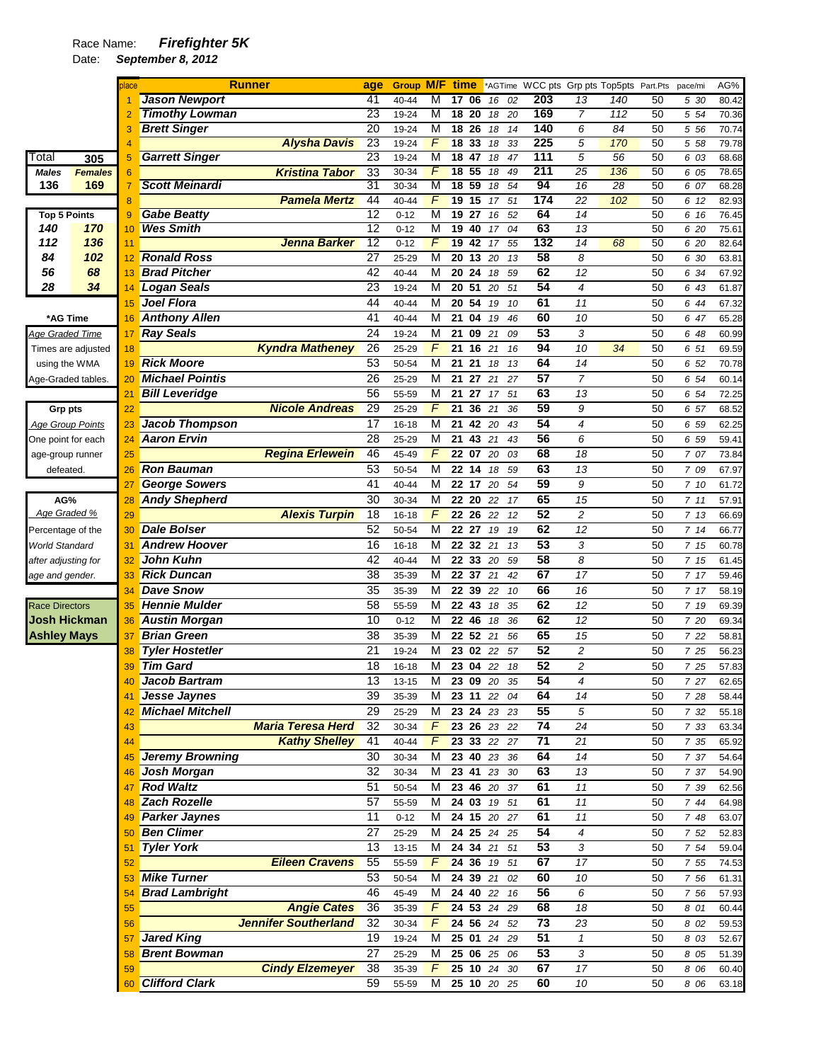## Race Name: *Firefighter 5K*

|                         |                    | blace |                         | <b>Runner</b>               | age             | <b>Group M/F time</b> |                |                 |                   |             |          |                 |                         | *AGTime WCC pts Grp pts Top5pts Part.Pts |          | pace/mi | AG%   |
|-------------------------|--------------------|-------|-------------------------|-----------------------------|-----------------|-----------------------|----------------|-----------------|-------------------|-------------|----------|-----------------|-------------------------|------------------------------------------|----------|---------|-------|
|                         |                    |       | <b>Jason Newport</b>    |                             | 41              | 40-44                 | M              | 17              | 06                | 16          | 02       | 203             | 13                      | 140                                      | 50       | 5 30    | 80.42 |
|                         |                    |       | <b>Timothy Lowman</b>   |                             | 23              | 19-24                 | M              | 18              | 20                | 18          | 20       | 169             | $\overline{7}$          | 112                                      | 50       | 5 54    | 70.36 |
|                         |                    |       | <b>Brett Singer</b>     |                             | $\overline{20}$ | 19-24                 | M              |                 | 18 <sup>26</sup>  | 18          | 14       | 140             | 6                       | 84                                       | 50       | 5 5 6   | 70.74 |
|                         |                    |       |                         | <b>Alysha Davis</b>         | 23              | 19-24                 | F              | 18              | 33                | 18          | 33       | 225             | 5                       | 170                                      | 50       | 5 58    | 79.78 |
| Total                   | 305                | 5     | <b>Garrett Singer</b>   |                             | 23              | 19-24                 | M              | 18              | 47                | 18          | 47       | 111             | $\overline{5}$          | $\overline{56}$                          | 50       | 6 03    | 68.68 |
| Males                   | <b>Females</b>     | 6     |                         | <b>Kristina Tabor</b>       | 33              | 30-34                 | F              | 18              | 55                | 18          | 49       | 211             | 25                      | 136                                      | 50       | 6 05    | 78.65 |
| 136                     | 169                | 7     | <b>Scott Meinardi</b>   |                             | 31              | 30-34                 | M              |                 | 18 59             | 18          | 54       | 94              | 16                      | 28                                       | 50       | 6 07    | 68.28 |
|                         |                    | 8     |                         | <b>Pamela Mertz</b>         | 44              | 40-44                 | F              | 19              | 15                | 17          | 51       | 174             | 22                      | 102                                      | 50       | 6 12    | 82.93 |
| <b>Top 5 Points</b>     |                    | 9     | <b>Gabe Beatty</b>      |                             | 12              | $0 - 12$              | M              | 19              | 27                | 16          | 52       | 64              | 14                      |                                          | 50       | 6 16    | 76.45 |
| 140                     | 170                | 10    | <b>Wes Smith</b>        |                             | 12              | $0 - 12$              | M              | 19              | 40                | 17          | 04       | 63              | 13                      |                                          | 50       | 6 20    | 75.61 |
| 112                     | 136                | 11    |                         | Jenna Barker                | 12              | $0 - 12$              | F              | 19              | 42                | 17          | 55       | 132             | 14                      | 68                                       | 50       | 6 20    | 82.64 |
| 84                      | 102                | 12    | <b>Ronald Ross</b>      |                             | $\overline{27}$ | 25-29                 | M              | $\overline{20}$ | $\overline{13}$   | 20          | 13       | 58              | 8                       |                                          | 50       | 6 30    | 63.81 |
| 56                      | 68                 | 13    | <b>Brad Pitcher</b>     |                             | 42              | 40-44                 | M              | 20              | 24                | 18          | 59       | 62              | 12                      |                                          | 50       | 6 34    | 67.92 |
| 28                      | 34                 | 14    | <b>Logan Seals</b>      |                             | 23              | 19-24                 | M              |                 | 20 51             | 20          | 51       | 54              | 4                       |                                          | 50       | 6 43    | 61.87 |
|                         |                    | 15    | <b>Joel Flora</b>       |                             | 44              | 40-44                 | M              | 20              | 54                | 19          | 10       | 61              | 11                      |                                          | 50       | 6 44    | 67.32 |
| *AG Time                |                    | 16    | <b>Anthony Allen</b>    |                             | 41              | 40-44                 | M              | 21              | 04                | 19          | 46       | 60              | 10                      |                                          | 50       | 6 47    | 65.28 |
| Age Graded Time         |                    | 17    | <b>Ray Seals</b>        |                             | 24              | 19-24                 | M              | 21              | 09                | 21          | 09       | 53              | 3                       |                                          | 50       | 6 48    | 60.99 |
|                         | Times are adjusted | 18    |                         | <b>Kyndra Matheney</b>      | 26              | 25-29                 | F              | 21              | 16                | 21          | 16       | 94              | 10                      | 34                                       | 50       | 6 51    | 69.59 |
| using the WMA           |                    | 19    | <b>Rick Moore</b>       |                             | 53              | 50-54                 | M              | 21              | 21                | 18          | 13       | 64              | 14                      |                                          | 50       | 6 52    | 70.78 |
| Age-Graded tables.      |                    | 20    | <b>Michael Pointis</b>  |                             | 26              | 25-29                 | M              |                 | 21 27             | 21          | 27       | $\overline{57}$ | 7                       |                                          | 50       | 6 54    | 60.14 |
|                         |                    | 21    | <b>Bill Leveridge</b>   |                             | 56              | 55-59                 | M              | 21              | 27                | 17          | 51       | 63              | 13                      |                                          | 50       | 6 54    | 72.25 |
|                         |                    |       |                         | <b>Nicole Andreas</b>       | 29              |                       | F              | 21              | 36                |             |          | 59              | 9                       |                                          |          |         |       |
| <b>Grp pts</b>          |                    | 22    | <b>Jacob Thompson</b>   |                             | 17              | 25-29                 | M              |                 |                   | 21          | 36       | 54              |                         |                                          | 50       | 6 57    | 68.52 |
| <b>Age Group Points</b> |                    | 23    |                         |                             |                 | 16-18                 |                | 21              | 42                | 20          | 43       |                 | 4                       |                                          | 50       | 6 59    | 62.25 |
| One point for each      |                    | 24    | <b>Aaron Ervin</b>      |                             | 28              | 25-29                 | M              | 21              | 43                | 21          | 43       | 56              | 6                       |                                          | 50       | 6 59    | 59.41 |
| age-group runner        |                    | 25    |                         | <b>Regina Erlewein</b>      | 46              | 45-49                 | F              |                 | 22 07             | 20          | 03       | 68              | 18                      |                                          | 50       | 7 07    | 73.84 |
| defeated.               |                    | 26    | <b>Ron Bauman</b>       |                             | 53              | 50-54                 | M              |                 | 22 14             | 18          | 59       | 63              | 13                      |                                          | 50       | 7 09    | 67.97 |
|                         |                    | 27    | <b>George Sowers</b>    |                             | 41              | 40-44                 | M              |                 | 22 17             | 20          | 54       | 59              | 9                       |                                          | 50       | 7 10    | 61.72 |
| AG%                     |                    | 28    | <b>Andy Shepherd</b>    |                             | 30              | 30-34                 | M              |                 | 22 20             | 22          | 17       | 65              | 15                      |                                          | 50       | 711     | 57.91 |
| Age Graded %            |                    | 29    |                         | <b>Alexis Turpin</b>        | 18              | 16-18                 | F              |                 | 22 26             | 22          | 12       | 52              | 2                       |                                          | 50       | 713     | 66.69 |
| Percentage of the       |                    | 30    | <b>Dale Bolser</b>      |                             | 52              | 50-54                 | M              |                 | $22\overline{27}$ | 19          | 19       | 62              | 12                      |                                          | 50       | 714     | 66.77 |
| World Standard          |                    | 31    | <b>Andrew Hoover</b>    |                             | 16              | 16-18                 | M              |                 | 22 32             | 21          | 13       | 53              | 3                       |                                          | 50       | 7 15    | 60.78 |
| after adjusting for     |                    | 32    | <b>John Kuhn</b>        |                             | 42              | 40-44                 | M              |                 | 22 33             | 20          | 59       | $\overline{58}$ | 8                       |                                          | 50       | 7 15    | 61.45 |
| age and gender.         |                    | 33    | <b>Rick Duncan</b>      |                             | 38              | 35-39                 | M              |                 | 22 37             | 21          | 42       | 67              | 17                      |                                          | 50       | 7 17    | 59.46 |
|                         |                    | 34    | <b>Dave Snow</b>        |                             | 35              | 35-39                 | M              | 22              | 39                | 22          | 10       | 66              | 16                      |                                          | 50       | 7 17    | 58.19 |
| <b>Race Directors</b>   |                    | 35    | <b>Hennie Mulder</b>    |                             | 58              | 55-59                 | M              |                 | 22 43             | 18          | 35       | 62              | 12                      |                                          | 50       | 7 19    | 69.39 |
| <b>Josh Hickman</b>     |                    | 36    | <b>Austin Morgan</b>    |                             | 10              | $0 - 12$              | M              |                 | 22 46             | 18          | 36       | 62              | 12                      |                                          | 50       | 7 20    | 69.34 |
| <b>Ashley Mays</b>      |                    | 37    | <b>Brian Green</b>      |                             | 38              | 35-39                 | M              |                 | 22 52             | 21          | 56       | 65              | 15                      |                                          | 50       | 7 22    | 58.81 |
|                         |                    | 38    | <b>Tyler Hostetler</b>  |                             | 21              | 19-24                 | M              | 23              | 02                | 22          | 57       | 52              | $\overline{\mathbf{c}}$ |                                          | 50       | 7 25    | 56.23 |
|                         |                    | 39    | <b>Tim Gard</b>         |                             | 18              | 16-18                 | М              |                 | 23 04             | 22          | 18       | 52              | $\overline{c}$          |                                          | 50       | 7 25    | 57.83 |
|                         |                    |       | <b>Jacob Bartram</b>    |                             | 13              |                       | M              |                 | 23 09 20          |             |          | 54              | 4                       |                                          |          |         |       |
|                         |                    |       | Jesse Jaynes            |                             | 39              | 13-15                 | М              |                 | 23 11 22          |             | 35<br>04 | 64              | 14                      |                                          | 50<br>50 | 7 27    | 62.65 |
|                         |                    | 41    | <b>Michael Mitchell</b> |                             |                 | 35-39                 |                |                 |                   |             |          | 55              |                         |                                          |          | 7 28    | 58.44 |
|                         |                    | 42    |                         |                             | 29              | 25-29                 | M              |                 |                   | 23 24 23 23 |          |                 | 5                       |                                          | 50       | 7 32    | 55.18 |
|                         |                    | 43    |                         | <b>Maria Teresa Herd</b>    | 32              | 30-34                 | $\overline{F}$ |                 | 23 26 23          |             | 22       | $\overline{74}$ | 24                      |                                          | 50       | 7 33    | 63.34 |
|                         |                    | 44    |                         | <b>Kathy Shelley</b>        | 41              | 40-44                 | F              |                 | 23 33 22          |             | 27       | $\overline{71}$ | 21                      |                                          | 50       | 7 35    | 65.92 |
|                         |                    | 45    | Jeremy Browning         |                             | 30              | 30-34                 | М              |                 | 23 40 23          |             | 36       | 64              | 14                      |                                          | 50       | 7 37    | 54.64 |
|                         |                    | 46    | <b>Josh Morgan</b>      |                             | 32              | 30-34                 | M              |                 | 23 41             | 23          | 30       | 63              | 13                      |                                          | 50       | 7 37    | 54.90 |
|                         |                    | 47    | <b>Rod Waltz</b>        |                             | 51              | 50-54                 | М              |                 | 23 46 20          |             | 37       | 61              | 11                      |                                          | 50       | 7 39    | 62.56 |
|                         |                    | 48    | <b>Zach Rozelle</b>     |                             | 57              | 55-59                 | М              |                 | 24 03 19          |             | 51       | 61              | 11                      |                                          | 50       | 7 44    | 64.98 |
|                         |                    |       | <b>Parker Jaynes</b>    |                             | 11              | $0 - 12$              | М              |                 |                   | 24 15 20 27 |          | 61              | 11                      |                                          | 50       | 7 48    | 63.07 |
|                         |                    | 50    | <b>Ben Climer</b>       |                             | 27              | 25-29                 | М              |                 | 24 25 24          |             | 25       | 54              | 4                       |                                          | 50       | 7 52    | 52.83 |
|                         |                    | 51    | <b>Tyler York</b>       |                             | 13              | 13-15                 | М              |                 | 24 34             | 21          | 51       | 53              | 3                       |                                          | 50       | 7 54    | 59.04 |
|                         |                    | 52    |                         | <b>Eileen Cravens</b>       | 55              | 55-59                 | F              |                 | 24 36 19          |             | 51       | 67              | 17                      |                                          | 50       | 7 55    | 74.53 |
|                         |                    | 53    | <b>Mike Turner</b>      |                             | 53              | 50-54                 | М              |                 | 24 39 21          |             | 02       | 60              | 10                      |                                          | 50       | 7 56    | 61.31 |
|                         |                    | 54    | <b>Brad Lambright</b>   |                             | 46              | 45-49                 | М              |                 | 24 40 22          |             | 16       | 56              | 6                       |                                          | 50       | 7 56    | 57.93 |
|                         |                    | 55    |                         | <b>Angie Cates</b>          | 36              | 35-39                 | F              |                 | 24 53 24          |             | 29       | 68              | 18                      |                                          | 50       | 8 01    | 60.44 |
|                         |                    | 56    |                         | <b>Jennifer Southerland</b> | 32              | 30-34                 | F              |                 | 24 56 24          |             | 52       | $\overline{73}$ | 23                      |                                          | 50       | 8 0 2   | 59.53 |
|                         |                    | 57    | Jared King              |                             | 19              | 19-24                 | M              |                 |                   | 25 01 24 29 |          | 51              | 1                       |                                          | 50       | 8 0 3   | 52.67 |
|                         |                    | 58    | <b>Brent Bowman</b>     |                             | 27              | 25-29                 | M              |                 |                   | 25 06 25 06 |          | 53              | 3                       |                                          | 50       | 8 0 5   | 51.39 |
|                         |                    |       |                         | <b>Cindy Elzemeyer</b>      | 38              |                       | F              |                 | 25 10 24          |             | 30       | 67              | $\overline{17}$         |                                          | 50       |         |       |
|                         |                    | 59    |                         |                             |                 | 35-39                 |                |                 |                   |             |          |                 |                         |                                          |          | 8 0 6   | 60.40 |
|                         |                    | 60    | <b>Clifford Clark</b>   |                             | 59              | 55-59                 | м              |                 |                   | 25 10 20 25 |          | 60              | 10                      |                                          | 50       | 8 0 6   | 63.18 |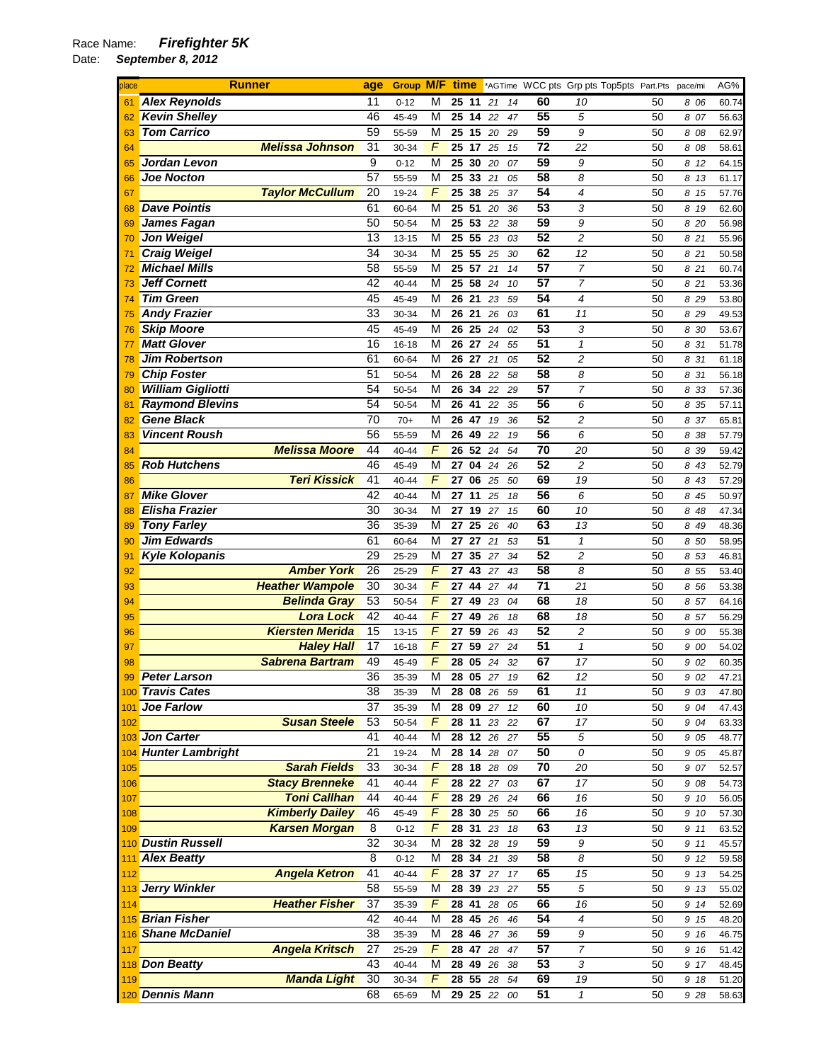## Race Name: *Firefighter 5K*

| place | <b>Runner</b>            |                        | age             | <b>Group M/F time</b> |                |                    |             |          |    |                 | *AGTime WCC pts Grp pts Top5pts Part.Pts |    | pace/mi | AG%                |
|-------|--------------------------|------------------------|-----------------|-----------------------|----------------|--------------------|-------------|----------|----|-----------------|------------------------------------------|----|---------|--------------------|
| 61    | <b>Alex Reynolds</b>     |                        | 11              | $0 - 12$              | М              | 25 11              |             | 21       | 14 | 60              | 10                                       | 50 | 8 06    | 60.74              |
| 62    | <b>Kevin Shelley</b>     |                        | 46              | 45-49                 | М              |                    | 25 14 22    |          | 47 | 55              | 5                                        | 50 | 8 07    | 56.63              |
| 63    | <b>Tom Carrico</b>       |                        | 59              | 55-59                 | М              | 25 15              |             | 20       | 29 | 59              | 9                                        | 50 | 8 08    | 62.97              |
| 64    |                          | <b>Melissa Johnson</b> | 31              | 30-34                 | $\sqrt{2}$     | $\overline{25}$ 17 |             | 25       | 15 | $\overline{72}$ | 22                                       | 50 | 8 08    | 58.61              |
| 65    | Jordan Levon             |                        | 9               | $0 - 12$              | М              | 25 30              |             | 20       | 07 | 59              | 9                                        | 50 | 8 12    | 64.15              |
| 66    | <b>Joe Nocton</b>        |                        | 57              | 55-59                 | М              | 25 33              |             | 21       | 05 | 58              | 8                                        | 50 | 8 13    | 61.17              |
| 67    |                          | <b>Taylor McCullum</b> | 20              | 19-24                 | F              | 25 38              |             | 25       | 37 | 54              | 4                                        | 50 | 8 15    | 57.76              |
| 68    | <b>Dave Pointis</b>      |                        | 61              | 60-64                 | M              | 25 51              |             | 20       | 36 | 53              | 3                                        | 50 | 8 19    | 62.60              |
| 69    | James Fagan              |                        | 50              | 50-54                 | М              | 25 53              |             | 22       | 38 | 59              | 9                                        | 50 | 8 20    | 56.98              |
| 70    | <b>Jon Weigel</b>        |                        | 13              | 13-15                 | M              | 25                 | 55          | 23       | 03 | 52              | $\overline{c}$                           | 50 | 8 21    | 55.96              |
| 71    | <b>Craig Weigel</b>      |                        | $\overline{34}$ | 30-34                 | М              |                    | 25 55 25    |          | 30 | 62              | 12                                       | 50 | 8 21    | 50.58              |
| 72    | <b>Michael Mills</b>     |                        | 58              | 55-59                 | M              | 25                 | 57          | 21       | 14 | 57              | 7                                        | 50 | 8 21    | 60.74              |
| 73    | <b>Jeff Cornett</b>      |                        | 42              | 40-44                 | М              | 25 58              |             | 24       | 10 | 57              | 7                                        | 50 | 8 21    | 53.36              |
| 74    | <b>Tim Green</b>         |                        | 45              | 45-49                 | M              | 26 21              |             | 23       | 59 | 54              | 4                                        | 50 | 8 29    | 53.80              |
|       | <b>Andy Frazier</b>      |                        | 33              | 30-34                 | М              | 26 21              |             |          | 03 | 61              | 11                                       | 50 |         |                    |
| 75    | <b>Skip Moore</b>        |                        | 45              |                       | М              | 26 25              |             | 26<br>24 | 02 | 53              | 3                                        | 50 | 8 2 9   | 49.53              |
| 76    | <b>Matt Glover</b>       |                        |                 | 45-49                 |                |                    |             |          |    | 51              |                                          |    | 8 30    | 53.67              |
| 77    |                          |                        | 16              | 16-18                 | М              |                    | 26 27 24    |          | 55 | 52              | 1                                        | 50 | 8 31    | 51.78              |
| 78    | <b>Jim Robertson</b>     |                        | 61              | 60-64                 | М              | 26 27              |             | 21       | 05 |                 | $\overline{c}$                           | 50 | 8 31    | 61.18              |
| 79    | <b>Chip Foster</b>       |                        | 51              | 50-54                 | М              | 26 28              |             | 22       | 58 | 58              | 8                                        | 50 | 8 31    | 56.18              |
| 80    | <b>William Gigliotti</b> |                        | 54              | 50-54                 | M              | 26 34              |             | 22       | 29 | $\overline{57}$ | 7                                        | 50 | 8 33    | 57.36              |
| 81    | <b>Raymond Blevins</b>   |                        | 54              | 50-54                 | М              | 26 41              |             | 22       | 35 | 56              | 6                                        | 50 | 8 35    | 57.11              |
| 82    | <b>Gene Black</b>        |                        | $\overline{70}$ | $70+$                 | M              | 26 47              |             | 19       | 36 | 52              | $\overline{c}$                           | 50 | 8 37    | 65.81              |
| 83    | <b>Vincent Roush</b>     |                        | 56              | 55-59                 | М              | 26 49              |             | 22       | 19 | 56              | 6                                        | 50 | 8 38    | 57.79              |
| 84    |                          | <b>Melissa Moore</b>   | 44              | 40-44                 | F              | 26 52              |             | 24       | 54 | 70              | 20                                       | 50 | 8 39    | 59.42              |
| 85    | <b>Rob Hutchens</b>      |                        | 46              | 45-49                 | M              | 27                 | 04          | 24       | 26 | 52              | $\overline{c}$                           | 50 | 8 43    | 52.79              |
| 86    |                          | <b>Teri Kissick</b>    | 41              | 40-44                 | F              | 27 06              |             | 25       | 50 | 69              | 19                                       | 50 | 8 43    | 57.29              |
| 87    | <b>Mike Glover</b>       |                        | 42              | 40-44                 | М              | 27                 | 11          | 25       | 18 | 56              | 6                                        | 50 | 8 45    | 50.97              |
| 88    | <b>Elisha Frazier</b>    |                        | 30              | 30-34                 | М              | 27                 | 19          | 27       | 15 | 60              | 10                                       | 50 | 8 48    | 47.34              |
| 89    | <b>Tony Farley</b>       |                        | 36              | 35-39                 | M              | 27                 | 25          | 26       | 40 | 63              | 13                                       | 50 | 8 49    | 48.36              |
| 90    | <b>Jim Edwards</b>       |                        | 61              | 60-64                 | М              |                    | 27 27 21    |          | 53 | 51              | $\mathbf{1}$                             | 50 | 8 50    | 58.95              |
| 91    | <b>Kyle Kolopanis</b>    |                        | 29              | 25-29                 | М              | 27                 | 35          | 27       | 34 | 52              | $\overline{c}$                           | 50 | 8 53    | 46.81              |
| 92    |                          | <b>Amber York</b>      | 26              | 25-29                 | F              | 27 43              |             | 27       | 43 | 58              | 8                                        | 50 | 8 55    | 53.40              |
| 93    |                          | <b>Heather Wampole</b> | 30              | 30-34                 | F              | 27                 | 44          | 27       | 44 | 71              | 21                                       | 50 | 8 56    | 53.38              |
| 94    |                          | <b>Belinda Gray</b>    | 53              | 50-54                 | $\overline{F}$ | 27 49              |             | 23       | 04 | 68              | 18                                       | 50 | 8 57    | 64.16              |
| 95    |                          | <b>Lora Lock</b>       | 42              | 40-44                 | $\overline{F}$ | 27                 | 49          | 26       | 18 | 68              | 18                                       | 50 | 8 57    | 56.29              |
| 96    |                          | <b>Kiersten Merida</b> | 15              | 13-15                 | F              | 27                 | 59          | 26       | 43 | 52              | $\overline{c}$                           | 50 | 9 00    | 55.38              |
| 97    |                          | <b>Haley Hall</b>      | 17              | 16-18                 | F              | 27                 | 59          | 27       | 24 | 51              | $\mathbf{1}$                             | 50 | 9 00    | 54.02              |
| 98    |                          | <b>Sabrena Bartram</b> | 49              | 45-49                 | $\overline{F}$ | 28 05              |             | 24       | 32 | 67              | 17                                       | 50 | 9 02    | 60.35              |
| 99    | <b>Peter Larson</b>      |                        | 36              | 35-39                 | М              | $28\overline{05}$  |             | 27       | 19 | 62              | $\overline{12}$                          | 50 | 9 02    | 47.21              |
|       | 100 Travis Cates         |                        | 38              | 35-39                 | М              |                    | 28 08 26 59 |          |    | 61              | 11                                       | 50 | 9 03    | 47.80              |
| 101   | Joe Farlow               |                        | 37              | 35-39                 | М              |                    | 28 09 27    |          | 12 | 60              | 10                                       | 50 | 9 04    | 47.43              |
| 102   |                          | <b>Susan Steele</b>    | 53              | 50-54                 | F              |                    | 28 11 23    |          | 22 | 67              | 17                                       | 50 | 9 04    | 63.33              |
|       | 103 Jon Carter           |                        | 41              | 40-44                 | М              |                    | 28 12 26    |          | 27 | 55              | 5                                        | 50 | 9 05    | 48.77              |
|       | 104 Hunter Lambright     |                        | 21              | 19-24                 | М              |                    | 28 14 28    |          | 07 | 50              | 0                                        | 50 | 9 0 5   | 45.87              |
| 105   |                          | <b>Sarah Fields</b>    | 33              | 30-34                 | F              |                    | 28 18 28    |          | 09 | 70              | 20                                       | 50 | 9 07    | 52.57              |
| 106   |                          | <b>Stacy Brenneke</b>  | 41              | 40-44                 | F              | 28 22              |             | 27       | 03 | 67              | 17                                       | 50 | 9 08    | $\overline{54.73}$ |
| 107   |                          | <b>Toni Callhan</b>    | 44              | 40-44                 | F              |                    | 28 29 26    |          | 24 | 66              | 16                                       | 50 | 9 10    | 56.05              |
| 108   |                          | <b>Kimberly Dailey</b> | 46              | 45-49                 | F              |                    | 28 30 25    |          | 50 | 66              | 16                                       | 50 | 9 10    | 57.30              |
| 109   |                          | <b>Karsen Morgan</b>   | 8               | $0 - 12$              | F              |                    | 28 31 23    |          | 18 | 63              | 13                                       | 50 | 9 11    | 63.52              |
|       | 110 Dustin Russell       |                        | 32              | 30-34                 | М              |                    | 28 32 28    |          | 19 | 59              | 9                                        | 50 | 9 11    | 45.57              |
| 111   | <b>Alex Beatty</b>       |                        | 8               | $0 - 12$              | М              |                    | $28$ 34 21  |          | 39 | 58              | 8                                        | 50 | 9 12    | 59.58              |
| 112   |                          | <b>Angela Ketron</b>   | 41              | 40-44                 | F              |                    | 28 37 27    |          | 17 | 65              | 15                                       | 50 | 9 13    | 54.25              |
|       | 113 Jerry Winkler        |                        | 58              | 55-59                 | М              |                    | 28 39 23    |          | 27 | 55              | 5                                        | 50 | 9 13    | 55.02              |
| 114   |                          | <b>Heather Fisher</b>  | 37              | 35-39                 | F              | 28 41              |             | 28       | 05 | 66              | 16                                       | 50 | 9 14    | 52.69              |
|       | 115 Brian Fisher         |                        | 42              |                       | М              |                    | 28 45 26    |          | 46 | 54              | 4                                        | 50 |         |                    |
|       | 116 Shane McDaniel       |                        | 38              | 40-44                 | М              |                    | 28 46 27    |          | 36 | 59              | 9                                        | 50 | 9 15    | 48.20              |
|       |                          |                        |                 | 35-39                 | F              |                    |             |          |    | 57              | 7                                        |    | 9 16    | 46.75              |
| 117   | 118 Don Beatty           | <b>Angela Kritsch</b>  | 27<br>43        | 25-29                 |                |                    | 28 47 28    |          | 47 | 53              |                                          | 50 | 9 16    | 51.42              |
|       |                          |                        |                 | 40-44                 | М              |                    | 28 49 26    |          | 38 |                 | 3                                        | 50 | 9 17    | 48.45              |
| 119   |                          | <b>Manda Light</b>     | 30              | 30-34                 | $\overline{F}$ |                    | 28 55 28    |          | 54 | 69              | 19                                       | 50 | 9 18    | 51.20              |
|       | 120 Dennis Mann          |                        | 68              | 65-69                 | М              |                    | 29 25 22    |          | 00 | 51              | 1                                        | 50 | 9 28    | 58.63              |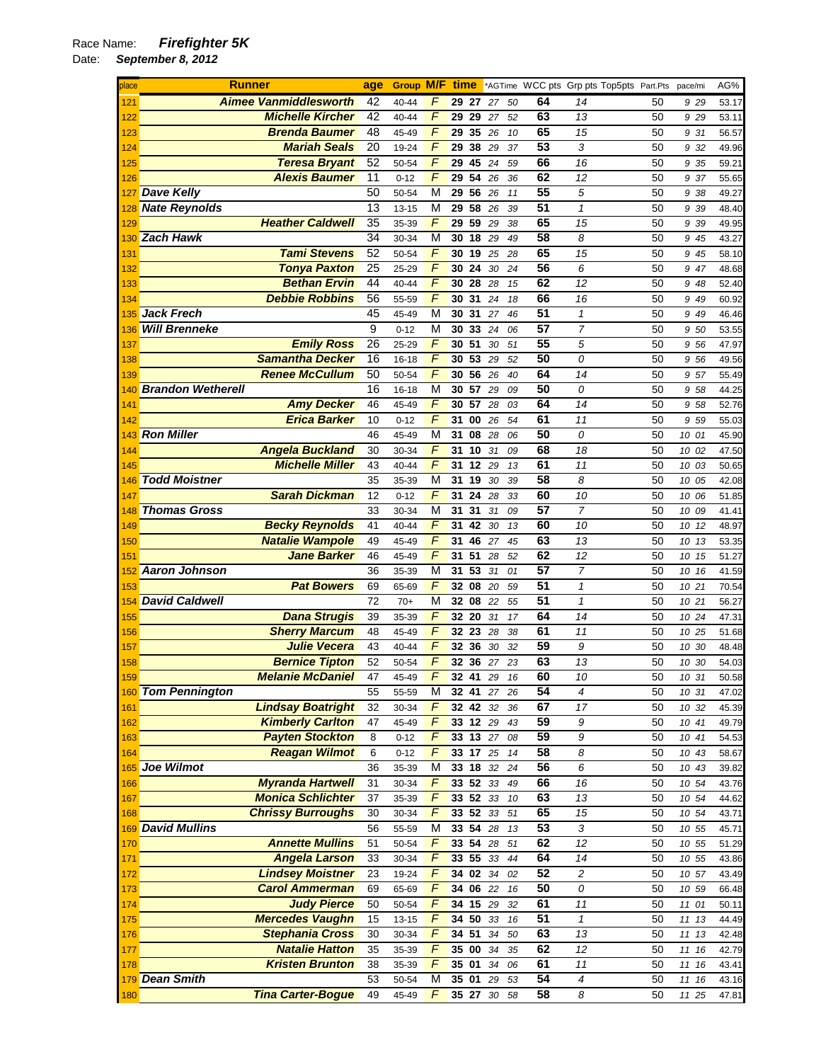| place | <b>Runner</b>                | age             | Group M/F |                | time     |                 |          |    |                 | *AGTime WCC pts Grp pts Top5pts Part.Pts pace/mi |    |          | AG%   |
|-------|------------------------------|-----------------|-----------|----------------|----------|-----------------|----------|----|-----------------|--------------------------------------------------|----|----------|-------|
| 121   | <b>Aimee Vanmiddlesworth</b> | 42              | 40-44     | F              |          | 29 27 27        |          | 50 | 64              | 14                                               | 50 | 9 29     | 53.17 |
| 122   | <b>Michelle Kircher</b>      | 42              | 40-44     | F              | 29       | 29              | 27       | 52 | 63              | 13                                               | 50 | 9 2 9    | 53.11 |
| 123   | <b>Brenda Baumer</b>         | 48              | 45-49     | F              | 29       | 35 26           |          | 10 | 65              | 15                                               | 50 | 9 31     | 56.57 |
| 124   | <b>Mariah Seals</b>          | 20              | 19-24     | F              | 29       | 38              | 29       | 37 | 53              | 3                                                | 50 | 9 32     | 49.96 |
| 125   | <b>Teresa Bryant</b>         | 52              | 50-54     | F              | 29       | 45              | 24       | 59 | 66              | 16                                               | 50 | 9 35     | 59.21 |
| 126   | <b>Alexis Baumer</b>         | 11              | $0 - 12$  | F              | 29       | 54              | 26       | 36 | 62              | 12                                               | 50 | 9 37     | 55.65 |
| 127   | <b>Dave Kelly</b>            | 50              | 50-54     | M              | 29       | 56 26           |          | 11 | 55              | 5                                                | 50 | 9 38     | 49.27 |
| 128   | <b>Nate Reynolds</b>         | 13              | $13 - 15$ | M              | 29       | 58              | 26       | 39 | 51              | $\pmb{\mathcal{1}}$                              | 50 | 9 39     | 48.40 |
| 129   | <b>Heather Caldwell</b>      | 35              | 35-39     | F              | 29       | 59              | 29       | 38 | 65              | 15                                               | 50 | 9 39     | 49.95 |
| 130   | <b>Zach Hawk</b>             | $\overline{34}$ | 30-34     | M              | 30       | 18              | 29       | 49 | 58              | 8                                                | 50 | 9 45     | 43.27 |
| 131   | <b>Tami Stevens</b>          | 52              | 50-54     | F              | 30       | 19              | 25       | 28 | 65              | 15                                               | 50 | 9 45     | 58.10 |
| 132   | <b>Tonya Paxton</b>          | 25              | 25-29     | F              | 30       | 24              | 30       | 24 | 56              | 6                                                | 50 | 9 47     | 48.68 |
| 133   | <b>Bethan Ervin</b>          | 44              | 40-44     | F              | 30 28    |                 | 28       | 15 | 62              | 12                                               | 50 | 948      | 52.40 |
| 134   | <b>Debbie Robbins</b>        | 56              | 55-59     | F              | 30       | 31              | 24       | 18 | 66              | 16                                               | 50 | 9 49     | 60.92 |
| 135   | <b>Jack Frech</b>            | 45              | 45-49     | M              | 30 31    |                 | 27       | 46 | 51              | $\pmb{\mathcal{1}}$                              | 50 | 9 49     | 46.46 |
| 136   | <b>Will Brenneke</b>         | 9               | $0 - 12$  | M              | 30       | 33              | 24       | 06 | 57              | $\overline{7}$                                   | 50 | 9 50     | 53.55 |
| 137   | <b>Emily Ross</b>            | 26              | $25 - 29$ | F              | 30 51    |                 | 30       | 51 | 55              | 5                                                | 50 | 9 56     | 47.97 |
| 138   | <b>Samantha Decker</b>       | 16              | 16-18     | F              | 30       | 53              | 29       | 52 | 50              | 0                                                | 50 | 9 56     | 49.56 |
| 139   | <b>Renee McCullum</b>        | 50              | 50-54     | F              | 30       | 56 26           |          | 40 | 64              | 14                                               | 50 | 9 57     | 55.49 |
| 140   | <b>Brandon Wetherell</b>     | 16              | 16-18     | M              | 30 57    |                 | 29       | 09 | 50              | 0                                                | 50 | 9 58     | 44.25 |
| 141   | <b>Amy Decker</b>            | 46              | 45-49     | F              | 30       | 57              | 28       | 03 | 64              | 14                                               | 50 | 9 58     | 52.76 |
| 142   | <b>Erica Barker</b>          | 10              | $0 - 12$  | F              | 31       | 00              | 26       | 54 | 61              | 11                                               | 50 | 9 59     | 55.03 |
| 143   | <b>Ron Miller</b>            | 46              | 45-49     | M              | 31       | 08              | 28       | 06 | 50              | 0                                                | 50 | 10 01    | 45.90 |
| 144   | <b>Angela Buckland</b>       | 30              | 30-34     | F              | 31       | 10              | 31       | 09 | 68              | 18                                               | 50 | 10 02    | 47.50 |
| 145   | <b>Michelle Miller</b>       | 43              | 40-44     | $\overline{F}$ | 31       | 12              | 29       | 13 | 61              | 11                                               | 50 | 10 03    | 50.65 |
| 146   | <b>Todd Moistner</b>         | 35              | 35-39     | M              | 31       | 19              | 30       | 39 | 58              | 8                                                | 50 | 10 05    | 42.08 |
| 147   | <b>Sarah Dickman</b>         | 12              | $0 - 12$  | $\overline{F}$ | 31       | 24              | 28       | 33 | 60              | 10                                               | 50 | 10 06    | 51.85 |
| 148   | <b>Thomas Gross</b>          | 33              | 30-34     | М              | 31       | 31              | 31       | 09 | 57              | $\overline{7}$                                   | 50 | 10 09    | 41.41 |
| 149   | <b>Becky Reynolds</b>        | 41              | 40-44     | F              | 31       | 42              | 30       | 13 | 60              | 10                                               | 50 | 10 12    | 48.97 |
| 150   | <b>Natalie Wampole</b>       | 49              | 45-49     | F              | 31       | 46 27           |          | 45 | 63              | 13                                               | 50 | 10 13    | 53.35 |
| 151   | <b>Jane Barker</b>           | 46              | 45-49     | F              | 31       | 51              | 28       | 52 | 62              | 12                                               | 50 | 10 15    | 51.27 |
| 152   | <b>Aaron Johnson</b>         | 36              | 35-39     | M              | 31       | 53              | 31       | 01 | 57              | 7                                                | 50 | 10 16    | 41.59 |
| 153   | <b>Pat Bowers</b>            | 69              | 65-69     | F              | 32       | 08              | 20       | 59 | $\overline{51}$ | $\mathcal I$                                     | 50 | 10 21    | 70.54 |
| 154   | <b>David Caldwell</b>        | 72              | $70+$     | M              |          | <b>32 08 22</b> |          | 55 | $\overline{51}$ | $\mathbf{1}$                                     | 50 | 10 21    | 56.27 |
| 155   | <b>Dana Strugis</b>          | 39              | 35-39     | $\overline{F}$ | 32       | 20              | 31       | 17 | 64              | 14                                               | 50 | 10 24    | 47.31 |
| 156   | <b>Sherry Marcum</b>         | 48              | 45-49     | F              | 32 23    |                 | 28       | 38 | 61              | 11                                               | 50 | 10 25    | 51.68 |
| 157   | <b>Julie Vecera</b>          | 43              | 40-44     | F              | 32       | 36              | 30       | 32 | 59              | 9                                                | 50 | 30<br>10 | 48.48 |
| 158   | <b>Bernice Tipton</b>        | 52              | 50-54     | F              |          |                 | 32 36 27 | 23 | 63              | 13                                               | 50 | 10 30    | 54.03 |
| 159   | <b>Melanie McDaniel</b>      | 47              | 45-49     | F              |          | <b>32 41 29</b> |          | 16 | 60              | 10                                               | 50 | 10 31    | 50.58 |
|       | 160 Tom Pennington           | 55              | 55-59     | M              |          |                 | 32 41 27 | 26 | $\overline{54}$ | $\overline{4}$                                   | 50 | 10 31    | 47.02 |
| 161   | <b>Lindsay Boatright</b>     | 32              | 30-34     | F              |          | 32 42           | 32       | 36 | 67              | 17                                               | 50 | 10 32    | 45.39 |
| 162   | <b>Kimberly Carlton</b>      | 47              | 45-49     | $\overline{F}$ |          | 33 12 29        |          | 43 | 59              | 9                                                | 50 | 10 41    | 49.79 |
| 163   | <b>Payten Stockton</b>       | 8               | $0 - 12$  | F              |          |                 | 33 13 27 | 08 | 59              | 9                                                | 50 | 10 41    | 54.53 |
| 164   | <b>Reagan Wilmot</b>         | 6               | $0 - 12$  | F              | 33 17 25 |                 |          | 14 | 58              | 8                                                | 50 | 10 43    | 58.67 |
|       | 165 Joe Wilmot               | 36              | 35-39     | M              | 33 18 32 |                 |          | 24 | 56              | 6                                                | 50 | 10 43    | 39.82 |
| 166   | <b>Myranda Hartwell</b>      | 31              | 30-34     | F              |          | 33 52 33        |          | 49 | 66              | 16                                               | 50 | 10 54    | 43.76 |
| 167   | <b>Monica Schlichter</b>     | 37              | 35-39     | F              |          |                 | 33 52 33 | 10 | 63              | 13                                               | 50 | 10 54    | 44.62 |
| 168   | <b>Chrissy Burroughs</b>     | 30              | 30-34     | $\overline{F}$ |          |                 | 33 52 33 | 51 | 65              | 15                                               | 50 | 10 54    | 43.71 |
|       | 169 David Mullins            | 56              | 55-59     | M              | 33 54 28 |                 |          | 13 | 53              | 3                                                | 50 | 10 55    | 45.71 |
| 170   | <b>Annette Mullins</b>       | 51              | 50-54     | $\overline{F}$ | 33 54    |                 | 28       | 51 | 62              | 12                                               | 50 | 10 55    | 51.29 |
| 171   | <b>Angela Larson</b>         | 33              | 30-34     | $\sqrt{2}$     |          | 33 55 33        |          | 44 | 64              | 14                                               | 50 | 10 55    | 43.86 |
| 172   | <b>Lindsey Moistner</b>      | 23              | 19-24     | $\overline{F}$ |          | 34 02 34        |          | 02 | 52              | $\overline{c}$                                   | 50 | 10 57    | 43.49 |
| 173   | <b>Carol Ammerman</b>        | 69              | 65-69     | F              |          | 34 06 22        |          | 16 | 50              | 0                                                | 50 | 10 59    | 66.48 |
| 174   | <b>Judy Pierce</b>           | 50              | 50-54     | F              |          | 34 15 29        |          | 32 | 61              | $11$                                             | 50 | 11 01    | 50.11 |
| 175   | <b>Mercedes Vaughn</b>       | 15              | 13-15     | F              |          | 34 50 33        |          | 16 | 51              | $\mathbf{1}$                                     | 50 | 11 13    | 44.49 |
| 176   | <b>Stephania Cross</b>       | 30              | 30-34     | F              | 34 51    |                 | 34       | 50 | 63              | 13                                               | 50 | 11 13    | 42.48 |
| 177   | <b>Natalie Hatton</b>        | 35              | 35-39     | F              |          |                 | 35 00 34 | 35 | 62              | 12                                               | 50 | 11 16    | 42.79 |
| 178   | <b>Kristen Brunton</b>       | 38              | 35-39     | $\overline{F}$ | 35 01    |                 | 34       | 06 | 61              | 11                                               | 50 | 11 16    | 43.41 |
|       | 179 Dean Smith               | 53              | 50-54     | М              |          | 35 01 29        |          | 53 | 54              | $\overline{4}$                                   | 50 | 11 16    | 43.16 |
| 180   | <b>Tina Carter-Bogue</b>     | 49              | 45-49     | F              |          |                 | 35 27 30 | 58 | 58              | 8                                                | 50 | 11 25    | 47.81 |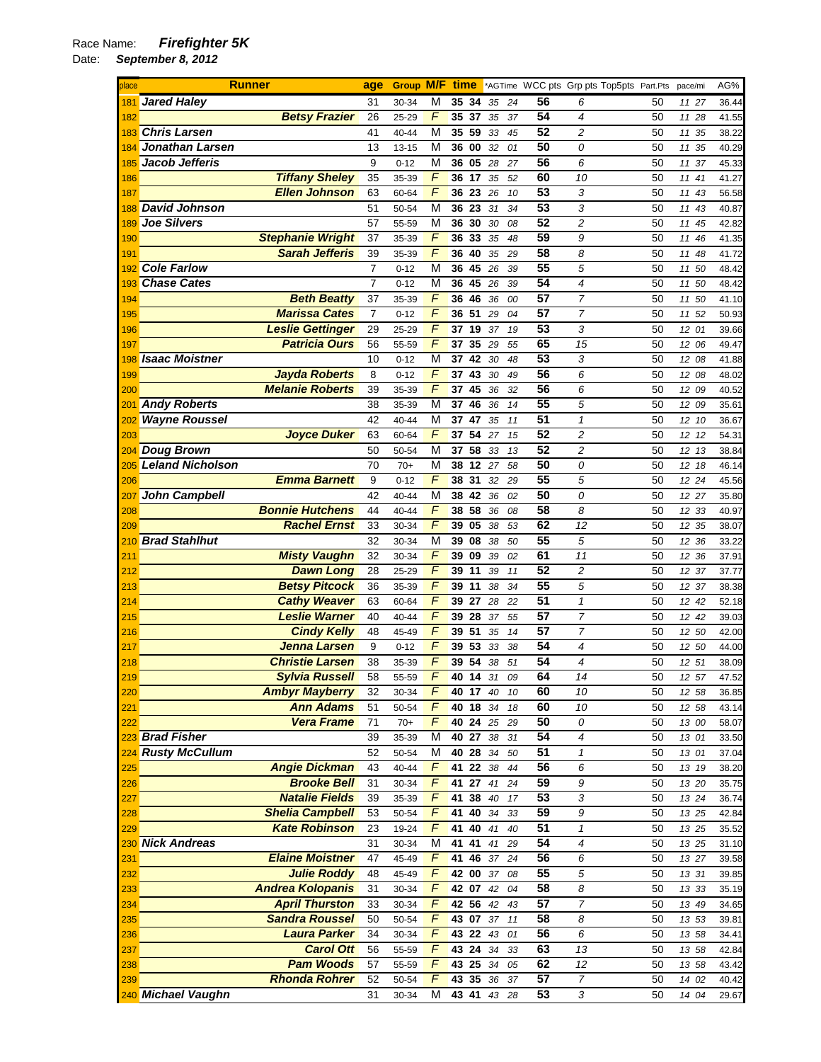## Race Name: *Firefighter 5K*

| place       | <b>Runner</b>                                 | age            | <b>Group M/F</b> |                     | time     |                    |          |          |                 |                     | *AGTime WCC pts Grp pts Top5pts Part.Pts | pace/mi        | AG%            |
|-------------|-----------------------------------------------|----------------|------------------|---------------------|----------|--------------------|----------|----------|-----------------|---------------------|------------------------------------------|----------------|----------------|
| 181         | <b>Jared Haley</b>                            | 31             | 30-34            | М                   | 35 34    |                    | 35       | 24       | 56              | 6                   | 50                                       | 11 27          | 36.44          |
| 182         | <b>Betsy Frazier</b>                          | 26             | 25-29            | F                   | 35       | 37                 | 35       | 37       | 54              | 4                   | 50                                       | 11 28          | 41.55          |
| 183         | <b>Chris Larsen</b>                           | 41             | 40-44            | M                   | 35 59    |                    | 33       | 45       | 52              | 2                   | 50                                       | 11 35          | 38.22          |
| 184         | <b>Jonathan Larsen</b>                        | 13             | $13 - 15$        | M                   | 36 00    |                    | 32       | 01       | 50              | 0                   | 50                                       | 11<br>35       | 40.29          |
| 185         | Jacob Jefferis                                | 9              | $0 - 12$         | M                   | 36 05    |                    | 28       | 27       | 56              | 6                   | 50                                       | 11<br>37       | 45.33          |
| 186         | <b>Tiffany Sheley</b>                         | 35             | 35-39            | F                   | 36 17    |                    | 35       | 52       | 60              | 10                  | 50                                       | 11<br>41       | 41.27          |
| 187         | <b>Ellen Johnson</b>                          | 63             | 60-64            | F                   | 36       | 23                 | 26       | 10       | 53              | 3                   | 50                                       | 11 43          | 56.58          |
| 188         | <b>David Johnson</b>                          | 51             | 50-54            | M                   | 36 23    |                    | 31       | 34       | 53              | 3                   | 50                                       | 11<br>43       | 40.87          |
| 189         | <b>Joe Silvers</b>                            | 57             | 55-59            | М                   | 36       | 30                 | 30       | 08       | 52              | 2                   | 50                                       | 45<br>11       | 42.82          |
| 190         | <b>Stephanie Wright</b>                       | 37             | 35-39            | F                   | 36       | 33                 | 35       | 48       | 59              | 9                   | 50                                       | 11<br>46       | 41.35          |
| 191         | <b>Sarah Jefferis</b>                         | 39             | 35-39            | F                   | 36       | 40                 | 35       | 29       | 58              | 8                   | 50                                       | 11 48          | 41.72          |
| 192         | <b>Cole Farlow</b>                            | $\overline{7}$ | $0 - 12$         | М                   | 36       | 45                 | 26       | 39       | 55              | 5                   | 50                                       | 11 50          | 48.42          |
| 193         | <b>Chase Cates</b>                            | $\overline{7}$ | $0 - 12$         | М                   | 36       | 45                 | 26       | 39       | 54              | 4                   | 50                                       | 11 50          | 48.42          |
| 194         | <b>Beth Beatty</b>                            | 37             | 35-39            | F                   | 36       | 46                 | 36       | 00       | 57              | 7                   | 50                                       | 11<br>50       | 41.10          |
| 195         | <b>Marissa Cates</b>                          | $\overline{7}$ | $0 - 12$         | F                   |          | 36 51              | 29       | 04       | 57              | $\overline{7}$      | 50                                       | 11 52          | 50.93          |
| 196         | <b>Leslie Gettinger</b>                       | 29             | 25-29            | F                   | 37       | 19                 | 37       | 19       | 53              | 3                   | 50                                       | 12 01          | 39.66          |
| 197         | <b>Patricia Ours</b>                          | 56             | 55-59            | F                   | 37       | 35                 | 29       | 55       | 65              | 15                  | 50                                       | 12 06          | 49.47          |
| 198         | <b>Isaac Moistner</b>                         | 10             | $0 - 12$         | М                   | 37       | 42                 | 30       | 48       | 53              | 3                   | 50                                       | 12 08          | 41.88          |
| 199         | <b>Jayda Roberts</b>                          | 8              | $0 - 12$         | F<br>F              | 37       | 43                 | 30       | 49       | 56<br>56        | 6                   | 50                                       | 12 08          | 48.02          |
| 200         | <b>Melanie Roberts</b><br><b>Andy Roberts</b> | 39             | 35-39            | M                   | 37       | 45<br>46           | 36       | 32       | 55              | 6                   | 50                                       | 12 09          | 40.52          |
| 201         |                                               | 38<br>42       | 35-39            |                     | 37       |                    | 36       | 14       | 51              | 5<br>$\mathcal I$   | 50                                       | 12 09          | 35.61          |
| <u> 202</u> | <b>Wayne Roussel</b><br><b>Joyce Duker</b>    | 63             | 40-44            | M<br>$\overline{F}$ | 37<br>37 | 47<br>54           | 35<br>27 | 11<br>15 | 52              | 2                   | 50<br>50                                 | 12<br>-10      | 36.67          |
| 203         | <b>Doug Brown</b>                             | 50             | 60-64            | M                   | 37       | 58                 | 33       |          | 52              | 2                   | 50                                       | 12 12<br>12 13 | 54.31          |
| 204<br>205  | <b>Leland Nicholson</b>                       | 70             | 50-54<br>$70+$   | M                   | 38       | $\overline{12}$ 27 |          | 13<br>58 | 50              | 0                   | 50                                       | 12 18          | 38.84<br>46.14 |
| 206         | <b>Emma Barnett</b>                           | 9              | $0 - 12$         | F                   | 38       | 31                 | 32       | 29       | 55              | 5                   | 50                                       | 12 24          | 45.56          |
| 207         | John Campbell                                 | 42             | 40-44            | M                   | 38       | 42                 | 36       | 02       | 50              | 0                   | 50                                       | 12 27          | 35.80          |
| 208         | <b>Bonnie Hutchens</b>                        | 44             | 40-44            | F                   | 38       | 58                 | 36       | 08       | 58              | 8                   | 50                                       | 12 33          | 40.97          |
| 209         | <b>Rachel Ernst</b>                           | 33             | 30-34            | F                   | 39       | 05                 | 38       | 53       | 62              | 12                  | 50                                       | 12 35          | 38.07          |
| 210         | <b>Brad Stahlhut</b>                          | 32             | 30-34            | M                   | 39       | 08                 | 38       | 50       | 55              | 5                   | 50                                       | 12 36          | 33.22          |
| 211         | <b>Misty Vaughn</b>                           | 32             | 30-34            | F                   | 39       | 09                 | 39       | 02       | 61              | 11                  | 50                                       | 12 36          | 37.91          |
| 212         | <b>Dawn Long</b>                              | 28             | 25-29            | F                   | 39       | 11                 | 39       | 11       | 52              | 2                   | 50                                       | 12 37          | 37.77          |
| 213         | <b>Betsy Pitcock</b>                          | 36             | 35-39            | $\overline{F}$      | 39       | 11                 | 38       | 34       | 55              | 5                   | 50                                       | 12 37          | 38.38          |
| 214         | <b>Cathy Weaver</b>                           | 63             | 60-64            | F                   | 39 27    |                    | 28       | 22       | 51              | $\mathbf{1}$        | 50                                       | 12 42          | 52.18          |
| 215         | <b>Leslie Warner</b>                          | 40             | 40-44            | F                   | 39       | 28                 | 37       | 55       | $\overline{57}$ | 7                   | 50                                       | 12 42          | 39.03          |
| 216         | <b>Cindy Kelly</b>                            | 48             | 45-49            | F                   | 39 51    |                    | 35       | 14       | 57              | $\overline{7}$      | 50                                       | 12 50          | 42.00          |
| 217         | Jenna Larsen                                  | 9              | $0 - 12$         | F                   | 39       | 53                 | 33       | 38       | $\overline{54}$ | 4                   | 50                                       | 12 50          | 44.00          |
| 218         | <b>Christie Larsen</b>                        | 38             | 35-39            | F                   | 39       | 54                 | 38       | 51       | 54              | 4                   | 50                                       | 12 51          | 38.09          |
| 219         | <b>Sylvia Russell</b>                         | 58             | 55-59            | $\overline{F}$      |          | 40 14 31           |          | 09       | 64              | 14                  | 50                                       | 12 57          | 47.52          |
| 220         | <b>Ambyr Mayberry</b>                         | 32             | 30-34            | F                   |          | 40 17 40           |          | 10       | 60              | 10                  | 50                                       | 12 58          | 36.85          |
| 221         | <b>Ann Adams</b>                              | 51             | 50-54            | F                   |          | 40 18 34           |          | 18       | 60              | 10                  | 50                                       | 12 58          | 43.14          |
| 222         | <b>Vera Frame</b>                             | 71             | $70+$            | F                   |          | 40 24 25           |          | 29       | 50              | 0                   | 50                                       | 13 00          | 58.07          |
| 223         | <b>Brad Fisher</b>                            | 39             | 35-39            | М                   | 40 27    |                    | 38       | 31       | 54              | 4                   | 50                                       | 13 01          | 33.50          |
| 224         | <b>Rusty McCullum</b>                         | 52             | 50-54            | M                   |          | 40 28 34           |          | 50       | 51              | 1                   | 50                                       | 13 01          | 37.04          |
| 225         | <b>Angie Dickman</b>                          | 43             | 40-44            | F                   |          | 41 22 38           |          | 44       | 56              | 6                   | 50                                       | 13 19          | 38.20          |
| 226         | <b>Brooke Bell</b>                            | 31             | 30-34            | F                   | 41       | 27                 | 41       | 24       | 59              | 9                   | 50                                       | 13 20          | 35.75          |
| 227         | <b>Natalie Fields</b>                         | 39             | 35-39            | F                   | 41       | 38                 | 40       | 17       | 53              | 3                   | 50                                       | 13 24          | 36.74          |
| 228         | <b>Shelia Campbell</b>                        | 53             | 50-54            | $\overline{F}$      | 41       | 40                 | 34       | 33       | 59              | 9                   | 50                                       | 13 25          | 42.84          |
| 229         | <b>Kate Robinson</b>                          | 23             | 19-24            | F                   | 41       | 40                 | 41       | 40       | 51              | $\pmb{\mathcal{1}}$ | 50                                       | 13 25          | 35.52          |
| 230         | <b>Nick Andreas</b>                           | 31             | 30-34            | М                   | 41 41    |                    | 41       | 29       | 54              | 4                   | 50                                       | 13 25          | 31.10          |
| 231         | <b>Elaine Moistner</b>                        | 47             | 45-49            | F                   | 41       | 46                 | 37       | 24       | 56              | 6                   | 50                                       | 13 27          | 39.58          |
| 232         | <b>Julie Roddy</b>                            | 48             | 45-49            | F                   |          | 42 00 37           |          | 08       | 55              | 5                   | 50                                       | 13 31          | 39.85          |
| 233         | <b>Andrea Kolopanis</b>                       | 31             | 30-34            | F                   |          | 42 07 42           |          | 04       | 58              | 8                   | 50                                       | 13 33          | 35.19          |
| 234         | <b>April Thurston</b>                         | 33             | 30-34            | F                   |          | 42 56              | 42       | 43       | 57              | $\overline{7}$      | 50                                       | 13 49          | 34.65          |
| 235         | <b>Sandra Roussel</b>                         | 50             | 50-54            | F<br>$\overline{F}$ | 43 07    |                    | 37       | 11       | 58              | 8                   | 50                                       | 13 53          | 39.81          |
| 236         | <b>Laura Parker</b>                           | 34             | 30-34            |                     | 43 22    |                    | 43       | 01       | 56              | 6                   | 50                                       | 13 58          | 34.41          |
| 237         | <b>Carol Ott</b><br><b>Pam Woods</b>          | 56             | 55-59            | $\overline{F}$<br>F |          | 43 24              | 34       | 33       | 63<br>62        | 13                  | 50                                       | 13 58          | 42.84          |
| 238<br>239  | <b>Rhonda Rohrer</b>                          | 57<br>52       | 55-59<br>50-54   | F                   | 43 25    | 43 35 36           | 34       | 05<br>37 | 57              | 12<br>7             | 50<br>50                                 | 13 58<br>14 02 | 43.42<br>40.42 |
|             | 240 Michael Vaughn                            | 31             | 30-34            | М                   |          | 43 41 43           |          | 28       | 53              | 3                   | 50                                       | 14 04          | 29.67          |
|             |                                               |                |                  |                     |          |                    |          |          |                 |                     |                                          |                |                |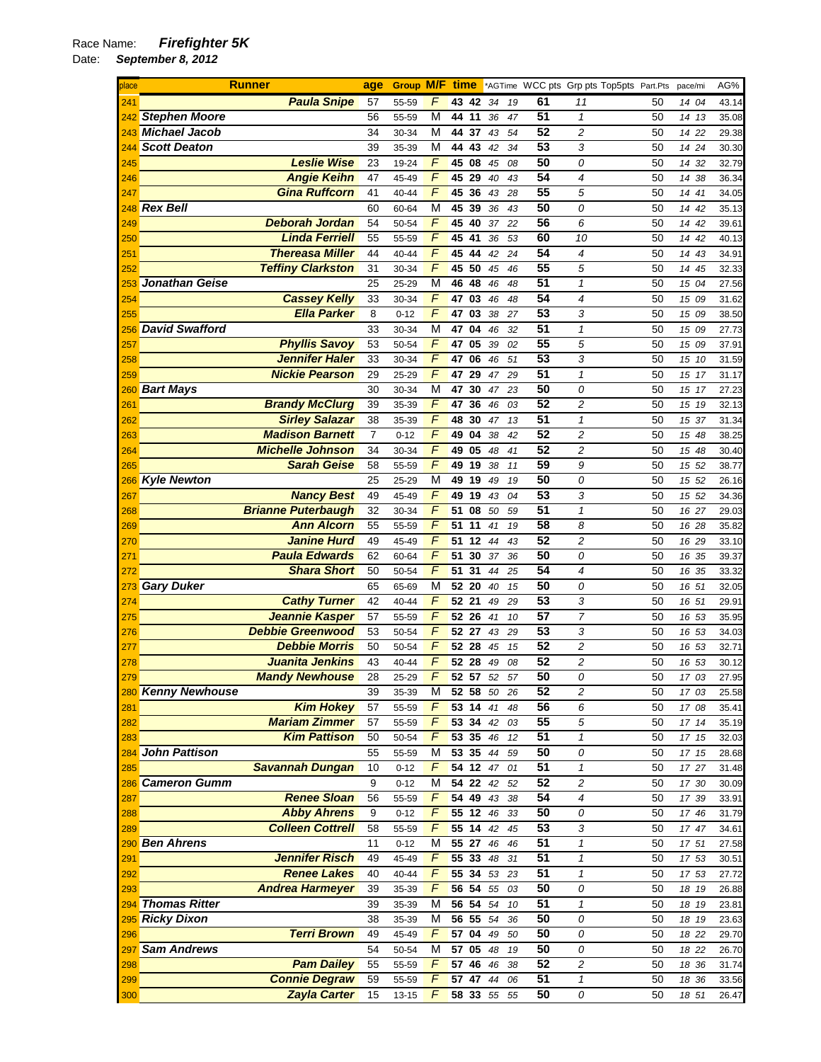| place | <b>Runner</b>             | age | <b>Group M/F time</b> |                |                  |    |    |    |                 | *AGTime WCC pts Grp pts Top5pts Part.Pts |    | pace/mi | AG%   |
|-------|---------------------------|-----|-----------------------|----------------|------------------|----|----|----|-----------------|------------------------------------------|----|---------|-------|
| 241   | <b>Paula Snipe</b>        | 57  | 55-59                 | F              | 43 42            |    | 34 | 19 | 61              | 11                                       | 50 | 14 04   | 43.14 |
| 242   | <b>Stephen Moore</b>      | 56  | 55-59                 | М              | 44 11            |    | 36 | 47 | 51              | $\mathbf{1}$                             | 50 | 14 13   | 35.08 |
|       | 243 Michael Jacob         | 34  | 30-34                 | М              | 44               | 37 | 43 | 54 | 52              | 2                                        | 50 | 14 22   | 29.38 |
| 244   | <b>Scott Deaton</b>       | 39  | 35-39                 | М              | 44 43            |    | 42 | 34 | 53              | 3                                        | 50 | 14 24   | 30.30 |
| 245   | <b>Leslie Wise</b>        | 23  | 19-24                 | F              | 45 08            |    | 45 | 08 | 50              | 0                                        | 50 | 14 32   | 32.79 |
| 246   | <b>Angie Keihn</b>        | 47  | 45-49                 | F              | 45 29            |    | 40 | 43 | 54              | 4                                        | 50 | 14 38   | 36.34 |
| 247   | <b>Gina Ruffcorn</b>      | 41  | 40-44                 | F              | 45               | 36 | 43 | 28 | 55              | 5                                        | 50 | 14 41   | 34.05 |
| 248   | <b>Rex Bell</b>           | 60  | 60-64                 | М              | 45 39            |    | 36 | 43 | 50              | 0                                        | 50 | 14 42   | 35.13 |
| 249   | <b>Deborah Jordan</b>     | 54  | 50-54                 | F              | 45               | 40 | 37 | 22 | 56              | 6                                        | 50 | 14 42   | 39.61 |
| 250   | <b>Linda Ferriell</b>     | 55  | 55-59                 | F              | 45 41            |    | 36 | 53 | 60              | 10                                       | 50 | 14 42   | 40.13 |
| 251   | <b>Thereasa Miller</b>    | 44  | 40-44                 | $\overline{F}$ | 45               | 44 | 42 | 24 | 54              | 4                                        | 50 | 14 43   | 34.91 |
| 252   | <b>Teffiny Clarkston</b>  | 31  | 30-34                 | F              | 45 50            |    | 45 | 46 | 55              | 5                                        | 50 | 14 45   | 32.33 |
| 253   | Jonathan Geise            | 25  | 25-29                 | M              | 46 48            |    | 46 | 48 | 51              | $\mathbf{1}$                             | 50 | 15 04   | 27.56 |
| 254   | <b>Cassey Kelly</b>       | 33  | 30-34                 | F              | 47               | 03 | 46 | 48 | 54              | 4                                        | 50 | 15 09   | 31.62 |
| 255   | <b>Ella Parker</b>        | 8   | $0 - 12$              | F              | 47               | 03 | 38 | 27 | 53              | 3                                        | 50 | 15 09   | 38.50 |
| 256   | <b>David Swafford</b>     | 33  | 30-34                 | М              | 47 04            |    | 46 | 32 | 51              | $\mathbf{1}$                             | 50 | 15 09   | 27.73 |
| 257   | <b>Phyllis Savoy</b>      | 53  | 50-54                 | F              | 47               | 05 | 39 | 02 | $\overline{55}$ | 5                                        | 50 | 15 09   | 37.91 |
| 258   | <b>Jennifer Haler</b>     | 33  | 30-34                 | F              | 47               | 06 | 46 | 51 | $\overline{53}$ | 3                                        | 50 | 15 10   | 31.59 |
| 259   | <b>Nickie Pearson</b>     | 29  | 25-29                 | F              | 47               | 29 | 47 | 29 | 51              | $\mathcal I$                             | 50 | 15 17   | 31.17 |
| 260   | <b>Bart Mays</b>          | 30  | 30-34                 | М              | 47               | 30 | 47 | 23 | 50              | 0                                        | 50 | 15 17   | 27.23 |
| 261   | <b>Brandy McClurg</b>     | 39  | 35-39                 | $\overline{F}$ | 47 36            |    | 46 | 03 | 52              | $\overline{c}$                           | 50 | 15 19   | 32.13 |
| 262   | <b>Sirley Salazar</b>     | 38  | 35-39                 | $\overline{F}$ | 48               | 30 | 47 | 13 | 51              | $\mathbf{1}$                             | 50 | 15 37   | 31.34 |
| 263   | <b>Madison Barnett</b>    | 7   | $0 - 12$              | F              | 49 04            |    | 38 | 42 | 52              | $\overline{c}$                           | 50 | 15 48   | 38.25 |
| 264   | <b>Michelle Johnson</b>   | 34  | 30-34                 | F              | 49               | 05 | 48 | 41 | 52              | $\overline{c}$                           | 50 | 15 48   | 30.40 |
| 265   | <b>Sarah Geise</b>        | 58  | 55-59                 | F              | 49 19            |    | 38 | 11 | 59              | 9                                        | 50 | 15 52   | 38.77 |
| 266   | <b>Kyle Newton</b>        | 25  | 25-29                 | М              | 49 19            |    | 49 | 19 | 50              | 0                                        | 50 | 15 52   | 26.16 |
| 267   | <b>Nancy Best</b>         | 49  | 45-49                 | F              | 49               | 19 | 43 | 04 | 53              | 3                                        | 50 | 15 52   | 34.36 |
| 268   | <b>Brianne Puterbaugh</b> | 32  | 30-34                 | $\overline{F}$ | 51               | 08 | 50 | 59 | $\overline{51}$ | $\mathbf{1}$                             | 50 | 16 27   | 29.03 |
| 269   | <b>Ann Alcorn</b>         | 55  | 55-59                 | $\overline{F}$ | 51 11            |    | 41 | 19 | 58              | 8                                        | 50 | 16 28   | 35.82 |
| 270   | <b>Janine Hurd</b>        | 49  | 45-49                 | F              | 51               | 12 | 44 | 43 | 52              | $\overline{c}$                           | 50 | 16 29   | 33.10 |
| 271   | <b>Paula Edwards</b>      | 62  | 60-64                 | F              | 51               | 30 | 37 | 36 | 50              | 0                                        | 50 | 16 35   | 39.37 |
| 272   | <b>Shara Short</b>        | 50  | 50-54                 | F              | 51               | 31 | 44 | 25 | 54              | 4                                        | 50 | 16 35   | 33.32 |
| 273   | <b>Gary Duker</b>         | 65  | 65-69                 | М              | 52 20            |    | 40 | 15 | 50              | 0                                        | 50 | 16 51   | 32.05 |
| 274   | <b>Cathy Turner</b>       | 42  | 40-44                 | $\overline{F}$ | 52 21            |    | 49 | 29 | $\overline{53}$ | 3                                        | 50 | 16 51   | 29.91 |
| 275   | <b>Jeannie Kasper</b>     | 57  | 55-59                 | $\overline{F}$ | 52 26            |    | 41 | 10 | 57              | $\overline{7}$                           | 50 | 16 53   | 35.95 |
| 276   | <b>Debbie Greenwood</b>   | 53  | 50-54                 | F              | 52 27            |    | 43 | 29 | 53              | 3                                        | 50 | 16 53   | 34.03 |
| 277   | <b>Debbie Morris</b>      | 50  | 50-54                 | F              | 52 28            |    | 45 | 15 | 52              | $\overline{\mathbf{c}}$                  | 50 | 16 53   | 32.71 |
| 278   | Juanita Jenkins           | 43  | 40-44                 | $\overline{F}$ | 52 28            |    | 49 | 08 | 52              | $\overline{c}$                           | 50 | 16 53   | 30.12 |
| 279   | <b>Mandy Newhouse</b>     | 28  | 25-29                 | F              | 52 57            |    | 52 | 57 | $\overline{50}$ | 0                                        | 50 | 17 03   | 27.95 |
|       | 280 Kenny Newhouse        | 39  | 35-39                 | М              | 52 58 50         |    |    | 26 | 52              | 2                                        | 50 | 17 03   | 25.58 |
| 281   | <b>Kim Hokey</b>          | 57  | 55-59                 | F              | 53 14            |    | 41 | 48 | 56              | 6                                        | 50 | 17 08   | 35.41 |
| 282   | <b>Mariam Zimmer</b>      | 57  | 55-59                 | F              | 53 34 42         |    |    | 03 | 55              | 5                                        | 50 | 17 14   | 35.19 |
| 283   | <b>Kim Pattison</b>       | 50  | 50-54                 | F              | 53 35            |    | 46 | 12 | 51              | $\mathcal I$                             | 50 | 17 15   | 32.03 |
| 284   | <b>John Pattison</b>      | 55  | 55-59                 | М              | 53 35            |    | 44 | 59 | 50              | 0                                        | 50 | 17 15   | 28.68 |
| 285   | <b>Savannah Dungan</b>    | 10  | $0 - 12$              | F              | 54 12            |    | 47 | 01 | 51              | $\mathbf{1}$                             | 50 | 17 27   | 31.48 |
| 286   | <b>Cameron Gumm</b>       | 9   | $0 - 12$              | М              | 5422             |    | 42 | 52 | 52              | $\overline{\mathbf{c}}$                  | 50 | 17 30   | 30.09 |
| 287   | <b>Renee Sloan</b>        | 56  | 55-59                 | F              | 54 49            |    | 43 | 38 | 54              | 4                                        | 50 | 17 39   | 33.91 |
| 288   | <b>Abby Ahrens</b>        | 9   | $0 - 12$              | F              | 55 <sub>12</sub> |    | 46 | 33 | 50              | 0                                        | 50 | 17 46   | 31.79 |
| 289   | <b>Colleen Cottrell</b>   | 58  | 55-59                 | F              | 55 14            |    | 42 | 45 | 53              | 3                                        | 50 | 17 47   | 34.61 |
| 290   | <b>Ben Ahrens</b>         | 11  | $0 - 12$              | М              | 55 27 46         |    |    | 46 | 51              | 1                                        | 50 | 17 51   | 27.58 |
| 291   | <b>Jennifer Risch</b>     | 49  | 45-49                 | F              | 55 33            |    | 48 | 31 | 51              | $\mathbf{1}$                             | 50 | 17 53   | 30.51 |
| 292   | <b>Renee Lakes</b>        | 40  | $40 - 44$             | F              | 55 34            |    | 53 | 23 | 51              | $\mathbf{1}$                             | 50 | 17 53   | 27.72 |
| 293   | <b>Andrea Harmeyer</b>    | 39  | 35-39                 | F              | 56 54            |    | 55 | 03 | 50              | 0                                        | 50 | 18 19   | 26.88 |
| 294   | <b>Thomas Ritter</b>      | 39  | 35-39                 | М              | 56 54 54         |    |    | 10 | 51              | $\mathbf{1}$                             | 50 | 18 19   | 23.81 |
| 295   | <b>Ricky Dixon</b>        | 38  | 35-39                 | М              | 56 55            |    | 54 | 36 | 50              | 0                                        | 50 | 18 19   | 23.63 |
| 296   | <b>Terri Brown</b>        | 49  | 45-49                 | F              | 57 04            |    | 49 | 50 | 50              | 0                                        | 50 | 18 22   | 29.70 |
| 297   | <b>Sam Andrews</b>        | 54  | 50-54                 | М              | 57 05            |    | 48 | 19 | 50              | 0                                        | 50 | 18 22   | 26.70 |
| 298   | <b>Pam Dailey</b>         | 55  | 55-59                 | F              | 57 46 46         |    |    | 38 | 52              | 2                                        | 50 | 18 36   | 31.74 |
| 299   | <b>Connie Degraw</b>      | 59  | 55-59                 | F              | 57 47            |    | 44 | 06 | $\overline{51}$ | $\boldsymbol{\mathcal{I}}$               | 50 | 18 36   | 33.56 |
| 300   | <b>Zayla Carter</b>       | 15  | 13-15                 | F              | 58 33 55         |    |    | 55 | 50              | 0                                        | 50 | 18 51   | 26.47 |